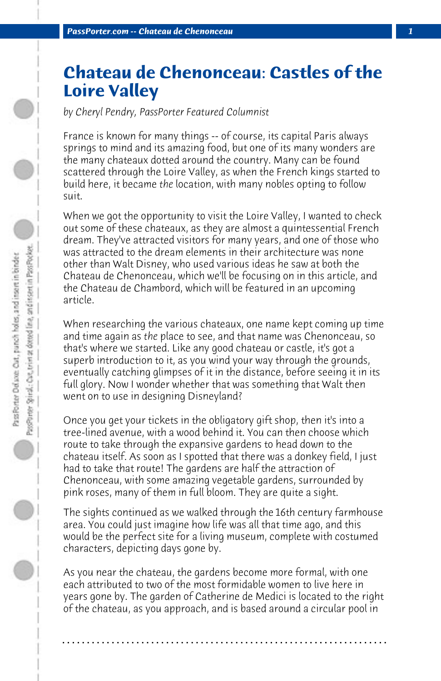## **Chateau de Chenonceau: Castles of the Loire Valley**

*by Cheryl Pendry, PassPorter Featured Columnist*

France is known for many things -- of course, its capital Paris always springs to mind and its amazing food, but one of its many wonders are the many chateaux dotted around the country. Many can be found scattered through the Loire Valley, as when the French kings started to build here, it became *the* location, with many nobles opting to follow suit.

When we got the opportunity to visit the Loire Valley, I wanted to check out some of these chateaux, as they are almost a quintessential French dream. They've attracted visitors for many years, and one of those who was attracted to the dream elements in their architecture was none other than Walt Disney, who used various ideas he saw at both the Chateau de Chenonceau, which we'll be focusing on in this article, and the Chateau de Chambord, which will be featured in an upcoming article.

When researching the various chateaux, one name kept coming up time and time again as *the* place to see, and that name was Chenonceau, so that's where we started. Like any good chateau or castle, it's got a superb introduction to it, as you wind your way through the grounds, eventually catching glimpses of it in the distance, before seeing it in its full glory. Now I wonder whether that was something that Walt then went on to use in designing Disneyland?

Once you get your tickets in the obligatory gift shop, then it's into a tree-lined avenue, with a wood behind it. You can then choose which route to take through the expansive gardens to head down to the chateau itself. As soon as I spotted that there was a donkey field, I just had to take that route! The gardens are half the attraction of Chenonceau, with some amazing vegetable gardens, surrounded by pink roses, many of them in full bloom. They are quite a sight.

The sights continued as we walked through the 16th century farmhouse area. You could just imagine how life was all that time ago, and this would be the perfect site for a living museum, complete with costumed characters, depicting days gone by.

As you near the chateau, the gardens become more formal, with one each attributed to two of the most formidable women to live here in years gone by. The garden of Catherine de Medici is located to the right of the chateau, as you approach, and is based around a circular pool in

**. . . . . . . . . . . . . . . . . . . . . . . . . . . . . . . . . . . . . . . . . . . . . . . . . . . . . . . . . . . . . . . . . .**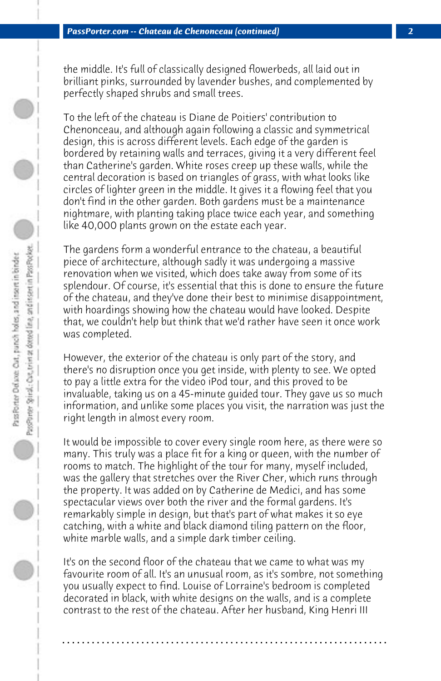the middle. It's full of classically designed flowerbeds, all laid out in brilliant pinks, surrounded by lavender bushes, and complemented by perfectly shaped shrubs and small trees.

To the left of the chateau is Diane de Poitiers' contribution to Chenonceau, and although again following a classic and symmetrical design, this is across different levels. Each edge of the garden is bordered by retaining walls and terraces, giving it a very different feel than Catherine's garden. White roses creep up these walls, while the central decoration is based on triangles of grass, with what looks like circles of lighter green in the middle. It gives it a flowing feel that you don't find in the other garden. Both gardens must be a maintenance nightmare, with planting taking place twice each year, and something like 40,000 plants grown on the estate each year.

The gardens form a wonderful entrance to the chateau, a beautiful piece of architecture, although sadly it was undergoing a massive renovation when we visited, which does take away from some of its splendour. Of course, it's essential that this is done to ensure the future of the chateau, and they've done their best to minimise disappointment, with hoardings showing how the chateau would have looked. Despite that, we couldn't help but think that we'd rather have seen it once work was completed.

However, the exterior of the chateau is only part of the story, and there's no disruption once you get inside, with plenty to see. We opted to pay a little extra for the video iPod tour, and this proved to be invaluable, taking us on a 45-minute guided tour. They gave us so much information, and unlike some places you visit, the narration was just the right length in almost every room.

It would be impossible to cover every single room here, as there were so many. This truly was a place fit for a king or queen, with the number of rooms to match. The highlight of the tour for many, myself included, was the gallery that stretches over the River Cher, which runs through the property. It was added on by Catherine de Medici, and has some spectacular views over both the river and the formal gardens. It's remarkably simple in design, but that's part of what makes it so eye catching, with a white and black diamond tiling pattern on the floor, white marble walls, and a simple dark timber ceiling.

It's on the second floor of the chateau that we came to what was my favourite room of all. It's an unusual room, as it's sombre, not something you usually expect to find. Louise of Lorraine's bedroom is completed decorated in black, with white designs on the walls, and is a complete contrast to the rest of the chateau. After her husband, King Henri III

**. . . . . . . . . . . . . . . . . . . . . . . . . . . . . . . . . . . . . . . . . . . . . . . . . . . . . . . . . . . . . . . . . .**